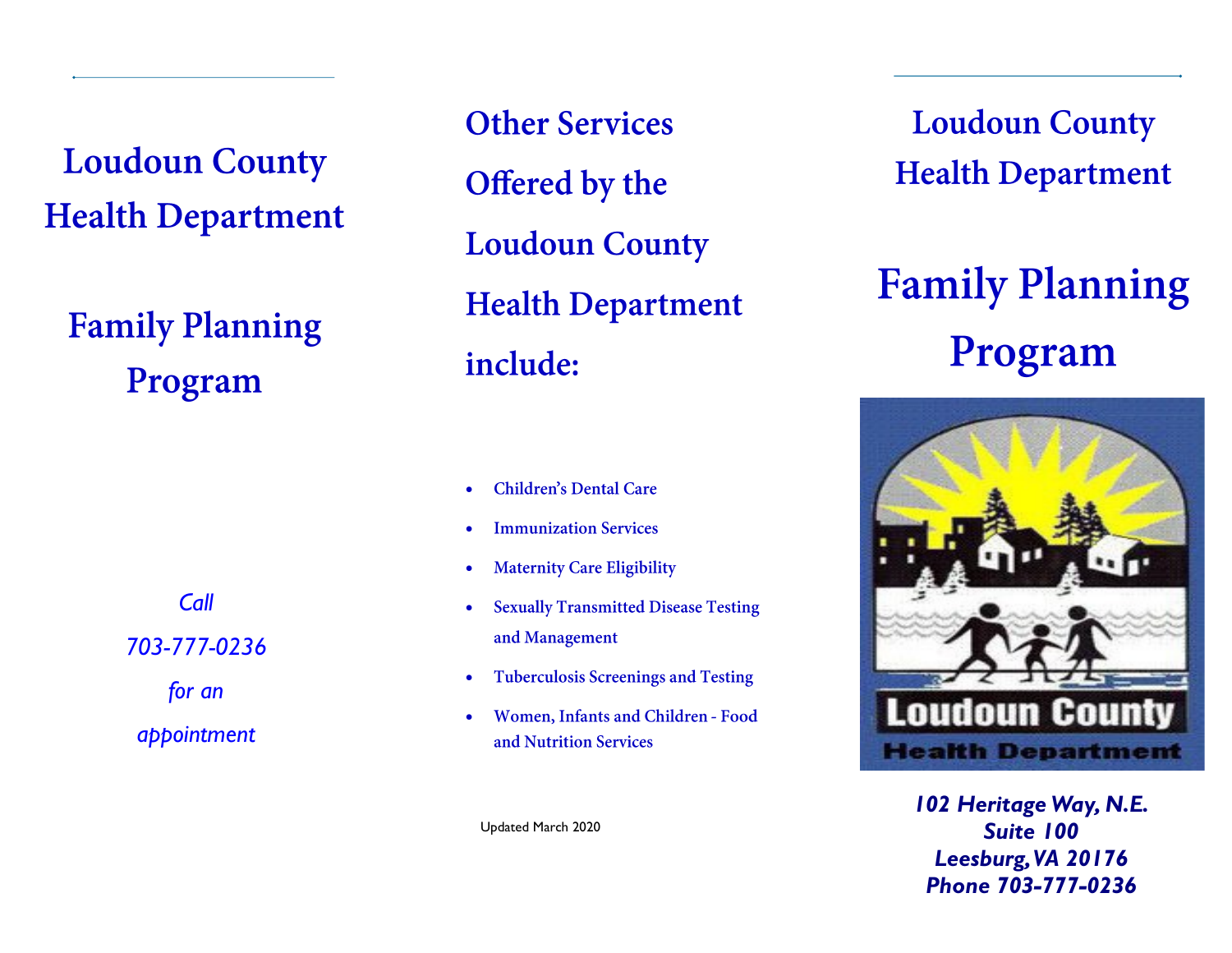**Loudoun County Health Department** 

**Family Planning** Program

> *Call 703-777-0236*

> > *for an*

*appointment* 

**Other Services** Offered by the **Loudoun County Health Department** include:

- **Children's Dental Care**  $\bullet$
- **Immunization Services**  $\bullet$
- **Maternity Care Eligibility**  $\bullet$
- **Sexually Transmitted Disease Testing**  $\bullet$ and Management
- **Tuberculosis Screenings and Testing**  $\bullet$
- $\bullet$ Women, Infants and Children - Food and Nutrition Services

**Loudoun County Health Department** 

# **Family Planning** Program



*102 Heritage Way, N.E. Suite 100 Leesburg, VA 20176 Phone 703-777-0236*

Updated March 2020